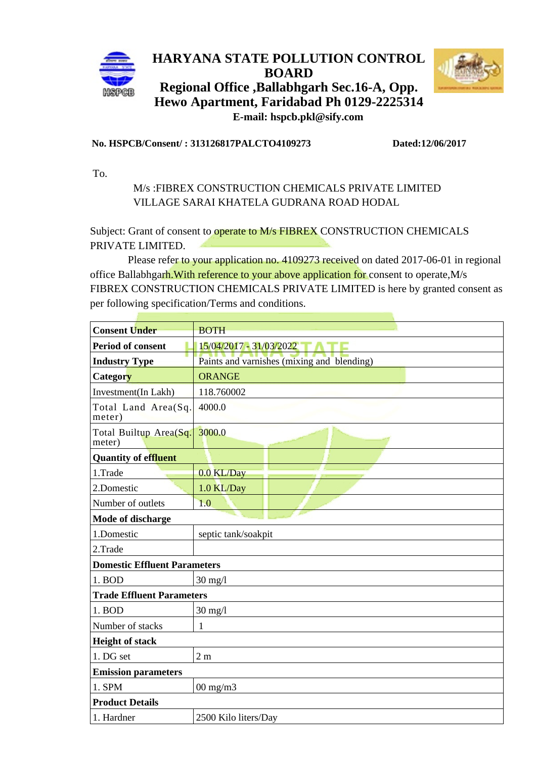

## **HARYANA STATE POLLUTION CONTROL BOARD Regional Office ,Ballabhgarh Sec.16-A, Opp. Hewo Apartment, Faridabad Ph 0129-2225314**



 **E-mail: hspcb.pkl@sify.com**

## **No. HSPCB/Consent/ : 313126817PALCTO4109273 Dated:12/06/2017**

To.

## M/s :FIBREX CONSTRUCTION CHEMICALS PRIVATE LIMITED VILLAGE SARAI KHATELA GUDRANA ROAD HODAL

Subject: Grant of consent to operate to M/s FIBREX CONSTRUCTION CHEMICALS PRIVATE LIMITED.

 Please refer to your application no. 4109273 received on dated 2017-06-01 in regional office Ballabhgarh.With reference to your above application for consent to operate,M/s FIBREX CONSTRUCTION CHEMICALS PRIVATE LIMITED is here by granted consent as per following specification/Terms and conditions.

| <b>Consent Under</b>                | <b>BOTH</b>                                |
|-------------------------------------|--------------------------------------------|
| Period of consent                   | 15/04/2017 - 31/03/2022                    |
| <b>Industry Type</b>                | Paints and varnishes (mixing and blending) |
| Category                            | <b>ORANGE</b>                              |
| Investment(In Lakh)                 | 118.760002                                 |
| Total Land Area(Sq.<br>meter)       | 4000.0                                     |
| Total Builtup Area(Sq.<br>meter)    | 3000.0                                     |
| <b>Quantity of effluent</b>         |                                            |
| 1. Trade                            | 0.0 KL/Day                                 |
| 2. Domestic                         | 1.0 KL/Day                                 |
| Number of outlets                   | 1.0                                        |
| Mode of discharge                   |                                            |
| 1. Domestic                         | septic tank/soakpit                        |
| 2. Trade                            |                                            |
| <b>Domestic Effluent Parameters</b> |                                            |
| 1. <b>BOD</b>                       | $30$ mg/l                                  |
| <b>Trade Effluent Parameters</b>    |                                            |
| 1. BOD                              | $30 \text{ mg}/1$                          |
| Number of stacks                    | 1                                          |
| <b>Height of stack</b>              |                                            |
| 1. DG set                           | 2 <sub>m</sub>                             |
| <b>Emission parameters</b>          |                                            |
| 1. SPM                              | $00 \text{ mg/m}$                          |
| <b>Product Details</b>              |                                            |
| 1. Hardner                          | 2500 Kilo liters/Day                       |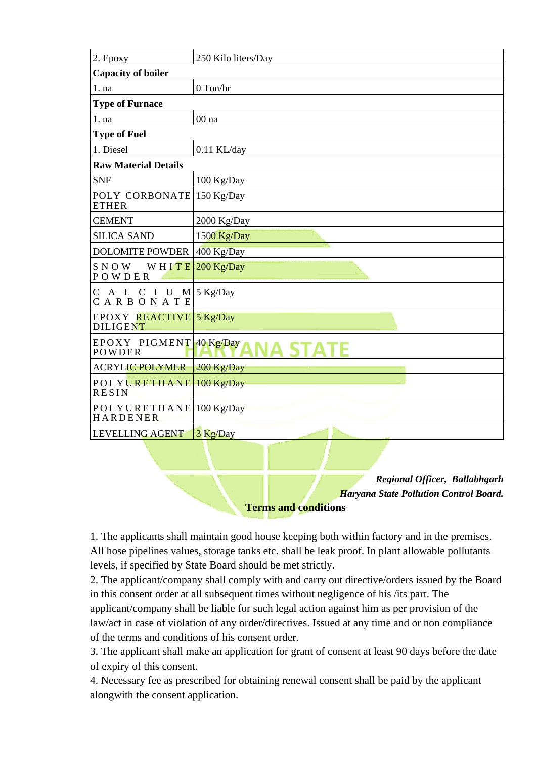| 2. Epoxy                                            | 250 Kilo liters/Day |
|-----------------------------------------------------|---------------------|
| <b>Capacity of boiler</b>                           |                     |
| 1. na                                               | 0 Ton/hr            |
| <b>Type of Furnace</b>                              |                     |
| 1. na                                               | 00 <sub>na</sub>    |
| <b>Type of Fuel</b>                                 |                     |
| 1. Diesel                                           | $0.11$ KL/day       |
| <b>Raw Material Details</b>                         |                     |
| <b>SNF</b>                                          | 100 Kg/Day          |
| POLY CORBONATE<br><b>ETHER</b>                      | 150 Kg/Day          |
| <b>CEMENT</b>                                       | 2000 Kg/Day         |
| <b>SILICA SAND</b>                                  | 1500 Kg/Day         |
| <b>DOLOMITE POWDER</b>                              | 400 Kg/Day          |
| <b>SNOW</b><br>WHITE<br>POWDER                      | 200 Kg/Day          |
| A L C I U M $5$ Kg/Day<br>$\mathsf{C}$<br>CARBONATE |                     |
| EPOXY REACTIVE 5 Kg/Day<br><b>DILIGENT</b>          |                     |
| EPOXY PIGMENT 40 Kg/Day<br>POWDER                   |                     |
| <b>ACRYLIC POLYMER</b>                              | 200 Kg/Day          |
| POLYURETHANE<br><b>RESIN</b>                        | 100 Kg/Day          |
| <b>POLYURETHANE</b><br><b>HARDENER</b>              | 100 Kg/Day          |
| <b>LEVELLING AGENT</b>                              | 3 Kg/Day            |
|                                                     |                     |

*Regional Officer, Ballabhgarh Haryana State Pollution Control Board.*

**Terms and conditions** 

1. The applicants shall maintain good house keeping both within factory and in the premises. All hose pipelines values, storage tanks etc. shall be leak proof. In plant allowable pollutants levels, if specified by State Board should be met strictly.

2. The applicant/company shall comply with and carry out directive/orders issued by the Board in this consent order at all subsequent times without negligence of his /its part. The applicant/company shall be liable for such legal action against him as per provision of the law/act in case of violation of any order/directives. Issued at any time and or non compliance of the terms and conditions of his consent order.

3. The applicant shall make an application for grant of consent at least 90 days before the date of expiry of this consent.

4. Necessary fee as prescribed for obtaining renewal consent shall be paid by the applicant alongwith the consent application.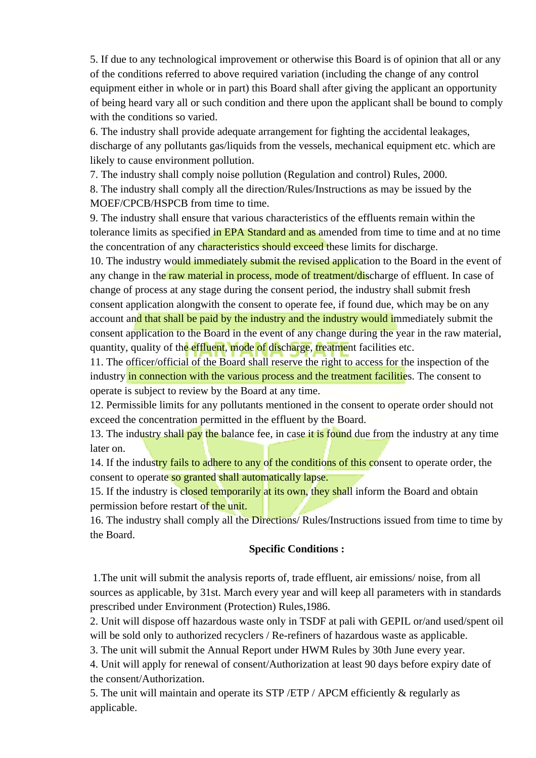5. If due to any technological improvement or otherwise this Board is of opinion that all or any of the conditions referred to above required variation (including the change of any control equipment either in whole or in part) this Board shall after giving the applicant an opportunity of being heard vary all or such condition and there upon the applicant shall be bound to comply with the conditions so varied.

6. The industry shall provide adequate arrangement for fighting the accidental leakages, discharge of any pollutants gas/liquids from the vessels, mechanical equipment etc. which are likely to cause environment pollution.

7. The industry shall comply noise pollution (Regulation and control) Rules, 2000. 8. The industry shall comply all the direction/Rules/Instructions as may be issued by the MOEF/CPCB/HSPCB from time to time.

9. The industry shall ensure that various characteristics of the effluents remain within the tolerance limits as specified in EPA Standard and as amended from time to time and at no time the concentration of any characteristics should exceed these limits for discharge.

10. The industry would immediately submit the revised application to the Board in the event of any change in the raw material in process, mode of treatment/discharge of effluent. In case of change of process at any stage during the consent period, the industry shall submit fresh consent application alongwith the consent to operate fee, if found due, which may be on any account and that shall be paid by the industry and the industry would immediately submit the consent application to the Board in the event of any change during the year in the raw material, quantity, quality of the effluent, mode of discharge, treatment facilities etc.

11. The officer/official of the Board shall reserve the right to access for the inspection of the industry in connection with the various process and the treatment facilities. The consent to operate is subject to review by the Board at any time.

12. Permissible limits for any pollutants mentioned in the consent to operate order should not exceed the concentration permitted in the effluent by the Board.

13. The industry shall pay the balance fee, in case it is found due from the industry at any time later on.

14. If the industry fails to adhere to any of the conditions of this consent to operate order, the consent to operate so granted shall automatically lapse.

15. If the industry is closed temporarily at its own, they shall inform the Board and obtain permission before restart of the unit.

16. The industry shall comply all the Directions/ Rules/Instructions issued from time to time by the Board.

## **Specific Conditions :**

 1.The unit will submit the analysis reports of, trade effluent, air emissions/ noise, from all sources as applicable, by 31st. March every year and will keep all parameters with in standards prescribed under Environment (Protection) Rules,1986.

2. Unit will dispose off hazardous waste only in TSDF at pali with GEPIL or/and used/spent oil will be sold only to authorized recyclers / Re-refiners of hazardous waste as applicable.

3. The unit will submit the Annual Report under HWM Rules by 30th June every year.

4. Unit will apply for renewal of consent/Authorization at least 90 days before expiry date of the consent/Authorization.

5. The unit will maintain and operate its STP /ETP / APCM efficiently & regularly as applicable.